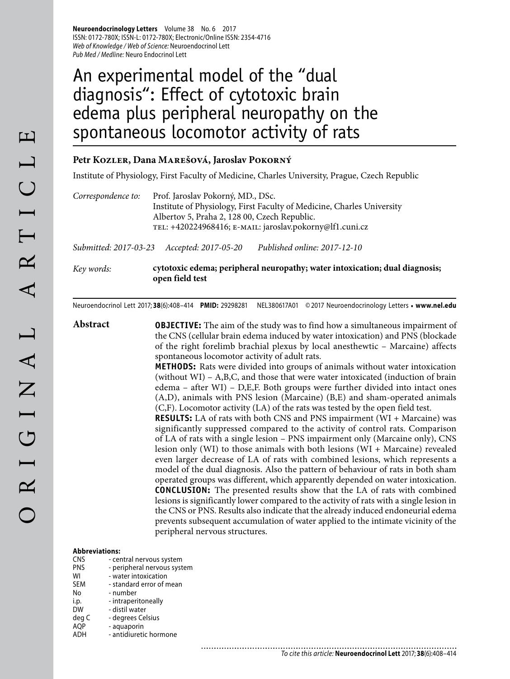**Neuroendocrinology Letters** Volume 38 No. 6 2017 ISSN: 0172-780X; ISSN-L: 0172-780X; Electronic/Online ISSN: 2354-4716 Web of Knowledge / Web of Science: Neuroendocrinol Lett Pub Med / Medline: Neuro Endocrinol Lett

# An experimental model of the "dual diagnosis": Effect of cytotoxic brain edema plus peripheral neuropathy on the spontaneous locomotor activity of rats

#### **Petr Kozler, Dana Marešová, Jaroslav Pokorný**

Institute of Physiology, First Faculty of Medicine, Charles University, Prague, Czech Republic

*Correspondence to:* Prof. Jaroslav Pokorný, MD., DSc. Institute of Physiology, First Faculty of Medicine, Charles University Albertov 5, Praha 2, 128 00, Czech Republic. tel: +420224968416; e-mail: jaroslav.pokorny@lf1.cuni.cz

............................

*Submitted: 2017-03-23 Accepted: 2017-05-20 Published online: 2017-12-10*

*Key words:* **cytotoxic edema; peripheral neuropathy; water intoxication; dual diagnosis; open field test** 

Neuroendocrinol Lett 2017; **38**(6):408–414 **PMID:** 29298281 NEL380617A01 © 2017 Neuroendocrinology Letters • **www.nel.edu**

**Abstract OBJECTIVE:** The aim of the study was to find how a simultaneous impairment of the CNS (cellular brain edema induced by water intoxication) and PNS (blockade of the right forelimb brachial plexus by local anesthewtic – Marcaine) affects spontaneous locomotor activity of adult rats.

> **METHODS:** Rats were divided into groups of animals without water intoxication (without WI) – A,B,C, and those that were water intoxicated (induction of brain edema – after WI) – D,E,F. Both groups were further divided into intact ones (A,D), animals with PNS lesion (Marcaine) (B,E) and sham-operated animals (C,F). Locomotor activity (LA) of the rats was tested by the open field test.

> **RESULTS:** LA of rats with both CNS and PNS impairment (WI + Marcaine) was significantly suppressed compared to the activity of control rats. Comparison of LA of rats with a single lesion – PNS impairment only (Marcaine only), CNS lesion only (WI) to those animals with both lesions (WI + Marcaine) revealed even larger decrease of LA of rats with combined lesions, which represents a model of the dual diagnosis. Also the pattern of behaviour of rats in both sham operated groups was different, which apparently depended on water intoxication. **CONCLUSION:** The presented results show that the LA of rats with combined lesions is significantly lower compared to the activity of rats with a single lesion in the CNS or PNS. Results also indicate that the already induced endoneurial edema prevents subsequent accumulation of water applied to the intimate vicinity of the peripheral nervous structures.

#### **Abbreviations:**

| <b>CNS</b> | - central nervous system    |
|------------|-----------------------------|
| PNS        | - peripheral nervous system |
| WI         | - water intoxication        |
| <b>SEM</b> | - standard error of mean    |
| No         | - number                    |
| i.p.       | - intraperitoneally         |
| <b>DW</b>  | - distil water              |
| deg C      | - degrees Celsius           |
| <b>AQP</b> | - aquaporin                 |
| ADH        | - antidiuretic hormone      |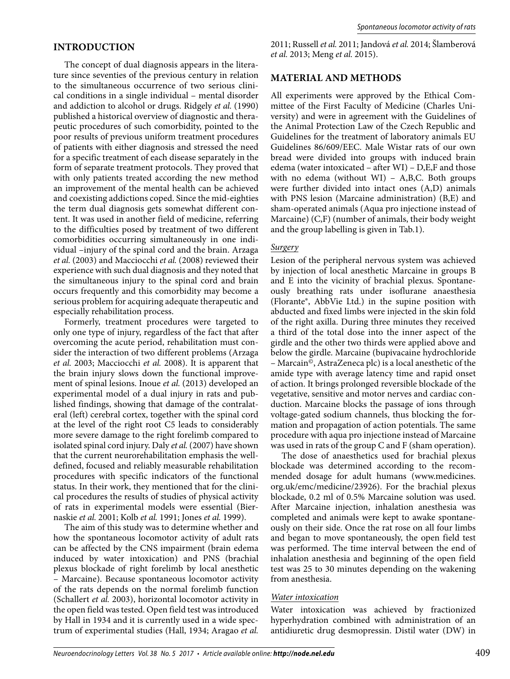## **INTRODUCTION**

The concept of dual diagnosis appears in the literature since seventies of the previous century in relation to the simultaneous occurrence of two serious clinical conditions in a single individual – mental disorder and addiction to alcohol or drugs. Ridgely *et al.* (1990) published a historical overview of diagnostic and therapeutic procedures of such comorbidity, pointed to the poor results of previous uniform treatment procedures of patients with either diagnosis and stressed the need for a specific treatment of each disease separately in the form of separate treatment protocols. They proved that with only patients treated according the new method an improvement of the mental health can be achieved and coexisting addictions coped. Since the mid-eighties the term dual diagnosis gets somewhat different content. It was used in another field of medicine, referring to the difficulties posed by treatment of two different comorbidities occurring simultaneously in one individual –injury of the spinal cord and the brain. Arzaga *et al.* (2003) and Macciocchi *et al.* (2008) reviewed their experience with such dual diagnosis and they noted that the simultaneous injury to the spinal cord and brain occurs frequently and this comorbidity may become a serious problem for acquiring adequate therapeutic and especially rehabilitation process.

Formerly, treatment procedures were targeted to only one type of injury, regardless of the fact that after overcoming the acute period, rehabilitation must consider the interaction of two different problems (Arzaga *et al.* 2003; Macciocchi *et al.* 2008). It is apparent that the brain injury slows down the functional improvement of spinal lesions. Inoue *et al.* (2013) developed an experimental model of a dual injury in rats and published findings, showing that damage of the contralateral (left) cerebral cortex, together with the spinal cord at the level of the right root C5 leads to considerably more severe damage to the right forelimb compared to isolated spinal cord injury. Daly *et al.* (2007) have shown that the current neurorehabilitation emphasis the welldefined, focused and reliably measurable rehabilitation procedures with specific indicators of the functional status. In their work, they mentioned that for the clinical procedures the results of studies of physical activity of rats in experimental models were essential (Biernaskie *et al.* 2001; Kolb *et al.* 1991; Jones *et al.* 1999).

The aim of this study was to determine whether and how the spontaneous locomotor activity of adult rats can be affected by the CNS impairment (brain edema induced by water intoxication) and PNS (brachial plexus blockade of right forelimb by local anesthetic – Marcaine). Because spontaneous locomotor activity of the rats depends on the normal forelimb function (Schallert *et al.* 2003), horizontal locomotor activity in the open field was tested. Open field test was introduced by Hall in 1934 and it is currently used in a wide spectrum of experimental studies (Hall, 1934; Aragao *et al.* 

2011; Russell *et al.* 2011; Jandová *et al.* 2014; Šlamberová *et al.* 2013; Meng *et al.* 2015).

## **MATERIAL AND METHODS**

All experiments were approved by the Ethical Committee of the First Faculty of Medicine (Charles University) and were in agreement with the Guidelines of the Animal Protection Law of the Czech Republic and Guidelines for the treatment of laboratory animals EU Guidelines 86/609/EEC. Male Wistar rats of our own bread were divided into groups with induced brain edema (water intoxicated – after WI) – D,E,F and those with no edema (without WI) – A,B,C. Both groups were further divided into intact ones (A,D) animals with PNS lesion (Marcaine administration) (B,E) and sham-operated animals (Aqua pro injectione instead of Marcaine) (C,F) (number of animals, their body weight and the group labelling is given in Tab.1).

#### *Surgery*

Lesion of the peripheral nervous system was achieved by injection of local anesthetic Marcaine in groups B and E into the vicinity of brachial plexus. Spontaneously breathing rats under isoflurane anaesthesia (Florante®, AbbVie Ltd.) in the supine position with abducted and fixed limbs were injected in the skin fold of the right axilla. During three minutes they received a third of the total dose into the inner aspect of the girdle and the other two thirds were applied above and below the girdle. Marcaine (bupivacaine hydrochloride – Marcain©, AstraZeneca plc) is a local anesthetic of the amide type with average latency time and rapid onset of action. It brings prolonged reversible blockade of the vegetative, sensitive and motor nerves and cardiac conduction. Marcaine blocks the passage of ions through voltage-gated sodium channels, thus blocking the formation and propagation of action potentials. The same procedure with aqua pro injectione instead of Marcaine was used in rats of the group C and F (sham operation).

The dose of anaesthetics used for brachial plexus blockade was determined according to the recommended dosage for adult humans (www.medicines. org.uk/emc/medicine/23926). For the brachial plexus blockade, 0.2 ml of 0.5% Marcaine solution was used. After Marcaine injection, inhalation anesthesia was completed and animals were kept to awake spontaneously on their side. Once the rat rose on all four limbs and began to move spontaneously, the open field test was performed. The time interval between the end of inhalation anesthesia and beginning of the open field test was 25 to 30 minutes depending on the wakening from anesthesia.

#### *Water intoxication*

Water intoxication was achieved by fractionized hyperhydration combined with administration of an antidiuretic drug desmopressin. Distil water (DW) in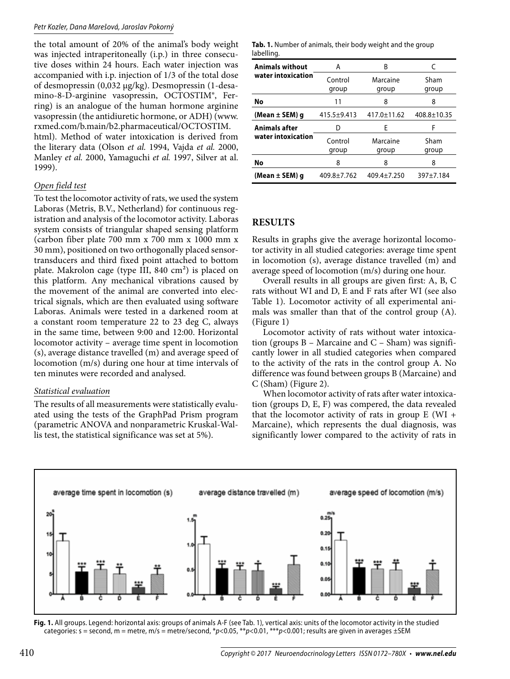the total amount of 20% of the animal's body weight was injected intraperitoneally (i.p.) in three consecutive doses within 24 hours. Each water injection was accompanied with i.p. injection of 1/3 of the total dose of desmopressin (0,032 μg/kg). Desmopressin (1-desamino-8-D-arginine vasopressin, OCTOSTIM®, Ferring) is an analogue of the human hormone arginine vasopressin (the antidiuretic hormone, or ADH) (www. rxmed.com/b.main/b2.pharmaceutical/OCTOSTIM. html). Method of water intoxication is derived from

the literary data (Olson *et al.* 1994, Vajda *et al.* 2000, Manley *et al.* 2000, Yamaguchi *et al.* 1997, Silver at al. 1999).

## *Open field test*

To test the locomotor activity of rats, we used the system Laboras (Metris, B.V., Netherland) for continuous registration and analysis of the locomotor activity. Laboras system consists of triangular shaped sensing platform (carbon fiber plate 700 mm x 700 mm x 1000 mm x 30 mm), positioned on two orthogonally placed sensortransducers and third fixed point attached to bottom plate. Makrolon cage (type III, 840 cm²) is placed on this platform. Any mechanical vibrations caused by the movement of the animal are converted into electrical signals, which are then evaluated using software Laboras. Animals were tested in a darkened room at a constant room temperature 22 to 23 deg C, always in the same time, between 9:00 and 12:00. Horizontal locomotor activity – average time spent in locomotion (s), average distance travelled (m) and average speed of locomotion (m/s) during one hour at time intervals of ten minutes were recorded and analysed.

## *Statistical evaluation*

The results of all measurements were statistically evaluated using the tests of the GraphPad Prism program (parametric ANOVA and nonparametric Kruskal-Wallis test, the statistical significance was set at 5%).

| <b>Tab. 1.</b> Number of animals, their body weight and the group |  |  |  |
|-------------------------------------------------------------------|--|--|--|
| labelling.                                                        |  |  |  |

| <b>Animals without</b> | A                 | В                 | C                 |  |
|------------------------|-------------------|-------------------|-------------------|--|
| water intoxication     | Control           | Marcaine          | Sham              |  |
|                        | group             | group             | group             |  |
| No                     | 11                | 8                 | 8                 |  |
| (Mean ± SEM) g         | $415.5 + 9.413$   | 417.0±11.62       | $408.8 \pm 10.35$ |  |
| <b>Animals after</b>   | D                 | F                 | F                 |  |
| water intoxication     | Control<br>group  | Marcaine<br>group | Sham<br>group     |  |
| No                     | 8                 | 8                 | 8                 |  |
| (Mean ± SEM) q         | $409.8 \pm 7.762$ | $409.4 \pm 7.250$ | 397±7.184         |  |

# **RESULTS**

Results in graphs give the average horizontal locomotor activity in all studied categories: average time spent in locomotion (s), average distance travelled (m) and average speed of locomotion (m/s) during one hour.

Overall results in all groups are given first: A, B, C rats without WI and D, E and F rats after WI (see also Table 1). Locomotor activity of all experimental animals was smaller than that of the control group (A). (Figure 1)

Locomotor activity of rats without water intoxication (groups  $B$  – Marcaine and  $C$  – Sham) was significantly lower in all studied categories when compared to the activity of the rats in the control group A. No difference was found between groups B (Marcaine) and C (Sham) (Figure 2).

When locomotor activity of rats after water intoxication (groups D, E, F) was compered, the data revealed that the locomotor activity of rats in group  $E$  (WI + Marcaine), which represents the dual diagnosis, was significantly lower compared to the activity of rats in



**Fig. 1.** All groups. Legend: horizontal axis: groups of animals A-F (see Tab. 1), vertical axis: units of the locomotor activity in the studied categories: s = second, m = metre, m/s = metre/second, \*p<0.05, \*\*p<0.01, \*\*\*p<0.001; results are given in averages  $\pm$ SEM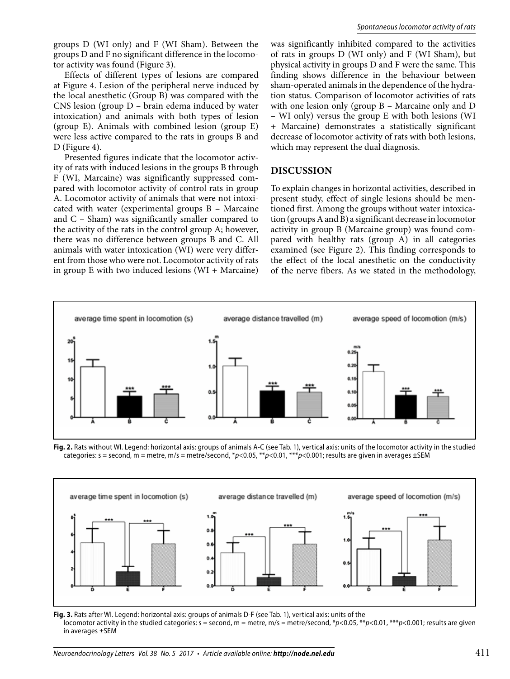groups D (WI only) and F (WI Sham). Between the groups D and F no significant difference in the locomotor activity was found (Figure 3).

Effects of different types of lesions are compared at Figure 4. Lesion of the peripheral nerve induced by the local anesthetic (Group B) was compared with the CNS lesion (group D – brain edema induced by water intoxication) and animals with both types of lesion (group E). Animals with combined lesion (group E) were less active compared to the rats in groups B and D (Figure 4).

Presented figures indicate that the locomotor activity of rats with induced lesions in the groups B through F (WI, Marcaine) was significantly suppressed compared with locomotor activity of control rats in group A. Locomotor activity of animals that were not intoxicated with water (experimental groups B – Marcaine and C – Sham) was significantly smaller compared to the activity of the rats in the control group A; however, there was no difference between groups B and C. All animals with water intoxication (WI) were very different from those who were not. Locomotor activity of rats in group  $E$  with two induced lesions (WI + Marcaine)

was significantly inhibited compared to the activities of rats in groups D (WI only) and F (WI Sham), but physical activity in groups D and F were the same. This finding shows difference in the behaviour between sham-operated animals in the dependence of the hydration status. Comparison of locomotor activities of rats with one lesion only (group B – Marcaine only and D – WI only) versus the group E with both lesions (WI + Marcaine) demonstrates a statistically significant decrease of locomotor activity of rats with both lesions, which may represent the dual diagnosis.

#### **DISCUSSION**

To explain changes in horizontal activities, described in present study, effect of single lesions should be mentioned first. Among the groups without water intoxication (groups A and B) a significant decrease in locomotor activity in group B (Marcaine group) was found compared with healthy rats (group A) in all categories examined (see Figure 2). This finding corresponds to the effect of the local anesthetic on the conductivity of the nerve fibers. As we stated in the methodology,



**Fig. 2.** Rats without WI. Legend: horizontal axis: groups of animals A-C (see Tab. 1), vertical axis: units of the locomotor activity in the studied categories: s = second, m = metre, m/s = metre/second, \*p<0.05, \*\*p<0.01, \*\*\*p<0.001; results are given in averages  $\pm$ SEM



**Fig. 3.** Rats after WI. Legend: horizontal axis: groups of animals D-F (see Tab. 1), vertical axis: units of the locomotor activity in the studied categories:  $s =$  second,  $m =$  metre,  $m/s =$  metre/second,  $*p < 0.05$ ,  $**p < 0.01$ ,  $**p < 0.001$ ; results are given in averages ±SEM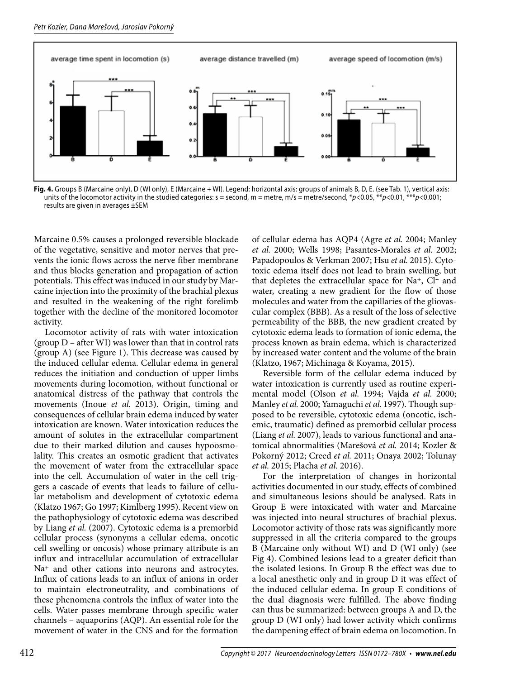

**Fig. 4.** Groups B (Marcaine only), D (WI only), E (Marcaine + WI). Legend: horizontal axis: groups of animals B, D, E. (see Tab. 1), vertical axis: units of the locomotor activity in the studied categories:  $s =$  second,  $m =$  metre,  $m/s =$  metre/second,  $*p < 0.05$ ,  $**p < 0.01$ ,  $***p < 0.001$ ; results are given in averages ±SEM

Marcaine 0.5% causes a prolonged reversible blockade of the vegetative, sensitive and motor nerves that prevents the ionic flows across the nerve fiber membrane and thus blocks generation and propagation of action potentials. This effect was induced in our study by Marcaine injection into the proximity of the brachial plexus and resulted in the weakening of the right forelimb together with the decline of the monitored locomotor activity.

Locomotor activity of rats with water intoxication (group D – after WI) was lower than that in control rats (group A) (see Figure 1). This decrease was caused by the induced cellular edema. Cellular edema in general reduces the initiation and conduction of upper limbs movements during locomotion, without functional or anatomical distress of the pathway that controls the movements (Inoue *et al.* 2013). Origin, timing and consequences of cellular brain edema induced by water intoxication are known. Water intoxication reduces the amount of solutes in the extracellular compartment due to their marked dilution and causes hypoosmolality. This creates an osmotic gradient that activates the movement of water from the extracellular space into the cell. Accumulation of water in the cell triggers a cascade of events that leads to failure of cellular metabolism and development of cytotoxic edema (Klatzo 1967; Go 1997; Kimlberg 1995). Recent view on the pathophysiology of cytotoxic edema was described by Liang *et al.* (2007). Cytotoxic edema is a premorbid cellular process (synonyms a cellular edema, oncotic cell swelling or oncosis) whose primary attribute is an influx and intracellular accumulation of extracellular Na<sup>+</sup> and other cations into neurons and astrocytes. Influx of cations leads to an influx of anions in order to maintain electroneutrality, and combinations of these phenomena controls the influx of water into the cells. Water passes membrane through specific water channels – aquaporins (AQP). An essential role for the movement of water in the CNS and for the formation

of cellular edema has AQP4 (Agre *et al.* 2004; Manley *et al.* 2000; Wells 1998; Pasantes-Morales *et al.* 2002; Papadopoulos & Verkman 2007; Hsu *et al.* 2015). Cytotoxic edema itself does not lead to brain swelling, but that depletes the extracellular space for  $Na<sup>+</sup>$ , Cl<sup>-</sup> and water, creating a new gradient for the flow of those molecules and water from the capillaries of the gliovascular complex (BBB). As a result of the loss of selective permeability of the BBB, the new gradient created by cytotoxic edema leads to formation of ionic edema, the process known as brain edema, which is characterized by increased water content and the volume of the brain (Klatzo, 1967; Michinaga & Koyama, 2015).

Reversible form of the cellular edema induced by water intoxication is currently used as routine experimental model (Olson *et al.* 1994; Vajda *et al.* 2000; Manley *et al.* 2000; Yamaguchi *et al.* 1997). Though supposed to be reversible, cytotoxic edema (oncotic, ischemic, traumatic) defined as premorbid cellular process (Liang *et al.* 2007), leads to various functional and anatomical abnormalities (Marešová *et al.* 2014; Kozler & Pokorný 2012; Creed *et al.* 2011; Onaya 2002; Tolunay *et al.* 2015; Placha *et al.* 2016).

For the interpretation of changes in horizontal activities documented in our study, effects of combined and simultaneous lesions should be analysed. Rats in Group E were intoxicated with water and Marcaine was injected into neural structures of brachial plexus. Locomotor activity of those rats was significantly more suppressed in all the criteria compared to the groups B (Marcaine only without WI) and D (WI only) (see Fig 4). Combined lesions lead to a greater deficit than the isolated lesions. In Group B the effect was due to a local anesthetic only and in group D it was effect of the induced cellular edema. In group E conditions of the dual diagnosis were fulfilled. The above finding can thus be summarized: between groups A and D, the group D (WI only) had lower activity which confirms the dampening effect of brain edema on locomotion. In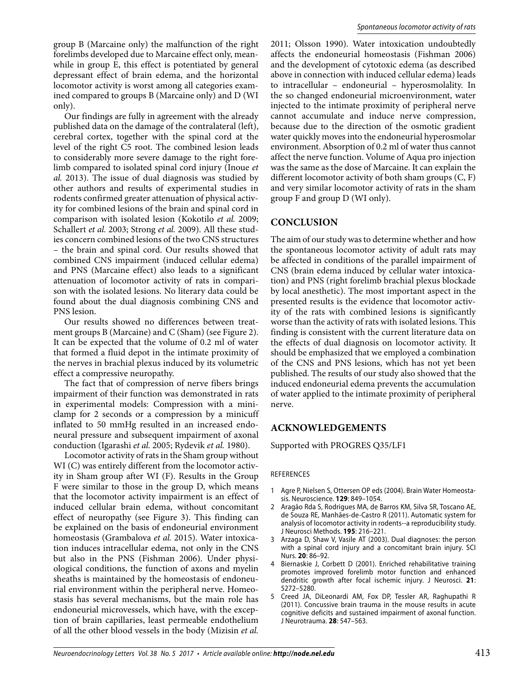group B (Marcaine only) the malfunction of the right forelimbs developed due to Marcaine effect only, meanwhile in group E, this effect is potentiated by general depressant effect of brain edema, and the horizontal locomotor activity is worst among all categories examined compared to groups B (Marcaine only) and D (WI only).

Our findings are fully in agreement with the already published data on the damage of the contralateral (left), cerebral cortex, together with the spinal cord at the level of the right C5 root. The combined lesion leads to considerably more severe damage to the right forelimb compared to isolated spinal cord injury (Inoue *et al.* 2013). The issue of dual diagnosis was studied by other authors and results of experimental studies in rodents confirmed greater attenuation of physical activity for combined lesions of the brain and spinal cord in comparison with isolated lesion (Kokotilo *et al.* 2009; Schallert *et al.* 2003; Strong *et al.* 2009). All these studies concern combined lesions of the two CNS structures – the brain and spinal cord. Our results showed that combined CNS impairment (induced cellular edema) and PNS (Marcaine effect) also leads to a significant attenuation of locomotor activity of rats in comparison with the isolated lesions. No literary data could be found about the dual diagnosis combining CNS and PNS lesion.

Our results showed no differences between treatment groups B (Marcaine) and C (Sham) (see Figure 2). It can be expected that the volume of 0.2 ml of water that formed a fluid depot in the intimate proximity of the nerves in brachial plexus induced by its volumetric effect a compressive neuropathy.

The fact that of compression of nerve fibers brings impairment of their function was demonstrated in rats in experimental models: Compression with a miniclamp for 2 seconds or a compression by a minicuff inflated to 50 mmHg resulted in an increased endoneural pressure and subsequent impairment of axonal conduction (Igarashi *et al.* 2005; Rydevik *et al.* 1980).

Locomotor activity of rats in the Sham group without WI (C) was entirely different from the locomotor activity in Sham group after WI (F). Results in the Group F were similar to those in the group D, which means that the locomotor activity impairment is an effect of induced cellular brain edema, without concomitant effect of neuropathy (see Figure 3). This finding can be explained on the basis of endoneurial environment homeostasis (Grambalova *et al.* 2015). Water intoxication induces intracellular edema, not only in the CNS but also in the PNS (Fishman 2006). Under physiological conditions, the function of axons and myelin sheaths is maintained by the homeostasis of endoneurial environment within the peripheral nerve. Homeostasis has several mechanisms, but the main role has endoneurial microvessels, which have, with the exception of brain capillaries, least permeable endothelium of all the other blood vessels in the body (Mizisin *et al.* 

2011; Olsson 1990). Water intoxication undoubtedly affects the endoneurial homeostasis (Fishman 2006) and the development of cytotoxic edema (as described above in connection with induced cellular edema) leads to intracellular – endoneurial – hyperosmolality. In the so changed endoneurial microenvironment, water injected to the intimate proximity of peripheral nerve cannot accumulate and induce nerve compression, because due to the direction of the osmotic gradient water quickly moves into the endoneurial hyperosmolar environment. Absorption of 0.2 ml of water thus cannot affect the nerve function. Volume of Aqua pro injection was the same as the dose of Marcaine. It can explain the different locomotor activity of both sham groups (C, F) and very similar locomotor activity of rats in the sham group F and group D (WI only).

# **CONCLUSION**

The aim of our study was to determine whether and how the spontaneous locomotor activity of adult rats may be affected in conditions of the parallel impairment of CNS (brain edema induced by cellular water intoxication) and PNS (right forelimb brachial plexus blockade by local anesthetic). The most important aspect in the presented results is the evidence that locomotor activity of the rats with combined lesions is significantly worse than the activity of rats with isolated lesions. This finding is consistent with the current literature data on the effects of dual diagnosis on locomotor activity. It should be emphasized that we employed a combination of the CNS and PNS lesions, which has not yet been published. The results of our study also showed that the induced endoneurial edema prevents the accumulation of water applied to the intimate proximity of peripheral nerve.

# **ACKNOWLEDGEMENTS**

Supported with PROGRES Q35/LF1

#### REFERENCES

- 1 Agre P, Nielsen S, Ottersen OP eds (2004). Brain Water Homeostasis. Neuroscience. **129**: 849–1054.
- 2 Aragão Rda S, Rodrigues MA, de Barros KM, Silva SR, Toscano AE, de Souza RE, Manhães-de-Castro R (2011). Automatic system for analysis of locomotor activity in rodents--a reproducibility study. J Neurosci Methods. **195**: 216–221.
- 3 Arzaga D, Shaw V, Vasile AT (2003). Dual diagnoses: the person with a spinal cord injury and a concomitant brain injury. SCI Nurs. **20**: 86–92.
- Biernaskie J, Corbett D (2001). Enriched rehabilitative training promotes improved forelimb motor function and enhanced dendritic growth after focal ischemic injury. J Neurosci. **21**: 5272–5280.
- 5 Creed JA, DiLeonardi AM, Fox DP, Tessler AR, Raghupathi R (2011). Concussive brain trauma in the mouse results in acute cognitive deficits and sustained impairment of axonal function. J Neurotrauma. **28**: 547–563.